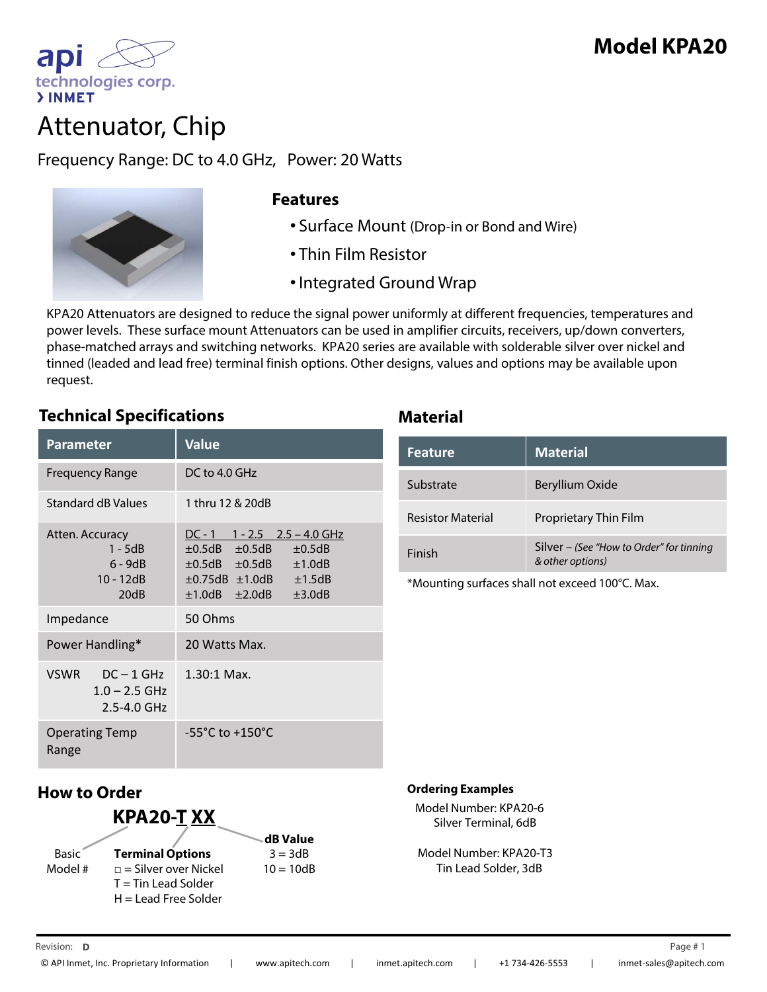

technologies corp.

ap

Frequency Range: DC to 4.0 GHz, Power: 20 Watts



## **Features**

- Surface Mount (Drop-in or Bond and Wire)
- Thin Film Resistor
- •Integrated Ground Wrap

KPA20 Attenuators are designed to reduce the signal power uniformly at different frequencies, temperatures and power levels. These surface mount Attenuators can be used in amplifier circuits, receivers, up/down converters, phase-matched arrays and switching networks. KPA20 series are available with solderable silver over nickel and tinned (leaded and lead free) terminal finish options. Other designs, values and options may be available upon request.

## **Technical Specifications Material**

| Parameter                                                         | <b>Value</b>                                                                                                                                                                                            |
|-------------------------------------------------------------------|---------------------------------------------------------------------------------------------------------------------------------------------------------------------------------------------------------|
| Frequency Range                                                   | DC to 4.0 GHz                                                                                                                                                                                           |
| <b>Standard dB Values</b>                                         | 1 thru 12 & 20dB                                                                                                                                                                                        |
| Atten. Accuracy<br>$1 - 5dB$<br>$6 - 9dB$<br>$10 - 12dB$<br>20dB  | $DC - 1$ 1 - 2.5 2.5 - 4.0 GHz<br>$\pm 0.5$ dB $\pm 0.5$ dB<br>$\pm 0.5$ dB<br>$\pm 0.5$ dB $\pm 0.5$ dB<br>±1.0dB<br>$\pm 0.75$ dB $\pm 1.0$ dB<br>±1.5dB<br>$\pm 1.0$ dB $\pm 2.0$ dB<br>$\pm 3.0$ dB |
| Impedance                                                         | 50 Ohms                                                                                                                                                                                                 |
| Power Handling*                                                   | 20 Watts Max.                                                                                                                                                                                           |
| <b>VSWR</b><br>$DC - 1$ GHz<br>$1.0 - 2.5$ GHz<br>$2.5 - 4.0$ GHz | $1.30:1$ Max.                                                                                                                                                                                           |
| <b>Operating Temp</b><br>Range                                    | $-55^{\circ}$ C to $+150^{\circ}$ C                                                                                                                                                                     |

| Feature                  | <b>Material</b>                                              |
|--------------------------|--------------------------------------------------------------|
| Substrate                | Beryllium Oxide                                              |
| <b>Resistor Material</b> | Proprietary Thin Film                                        |
| Finish                   | Silver – (See "How to Order" for tinning<br>& other options) |

\*Mounting surfaces shall not exceed 100°C. Max.

# **How to Order**

| KPA20-TXX    |                             |             |  |
|--------------|-----------------------------|-------------|--|
|              |                             | dB Value    |  |
| <b>Basic</b> | <b>Terminal Options</b>     | $3 = 3dB$   |  |
| Model #      | $\Box$ = Silver over Nickel | $10 = 10dB$ |  |
|              | $T =$ Tin Lead Solder       |             |  |
|              | $H =$ Lead Free Solder      |             |  |

### **Ordering Examples**

Model Number: KPA20-6 Silver Terminal, 6dB

Model Number: KPA20-T3 Tin Lead Solder, 3dB